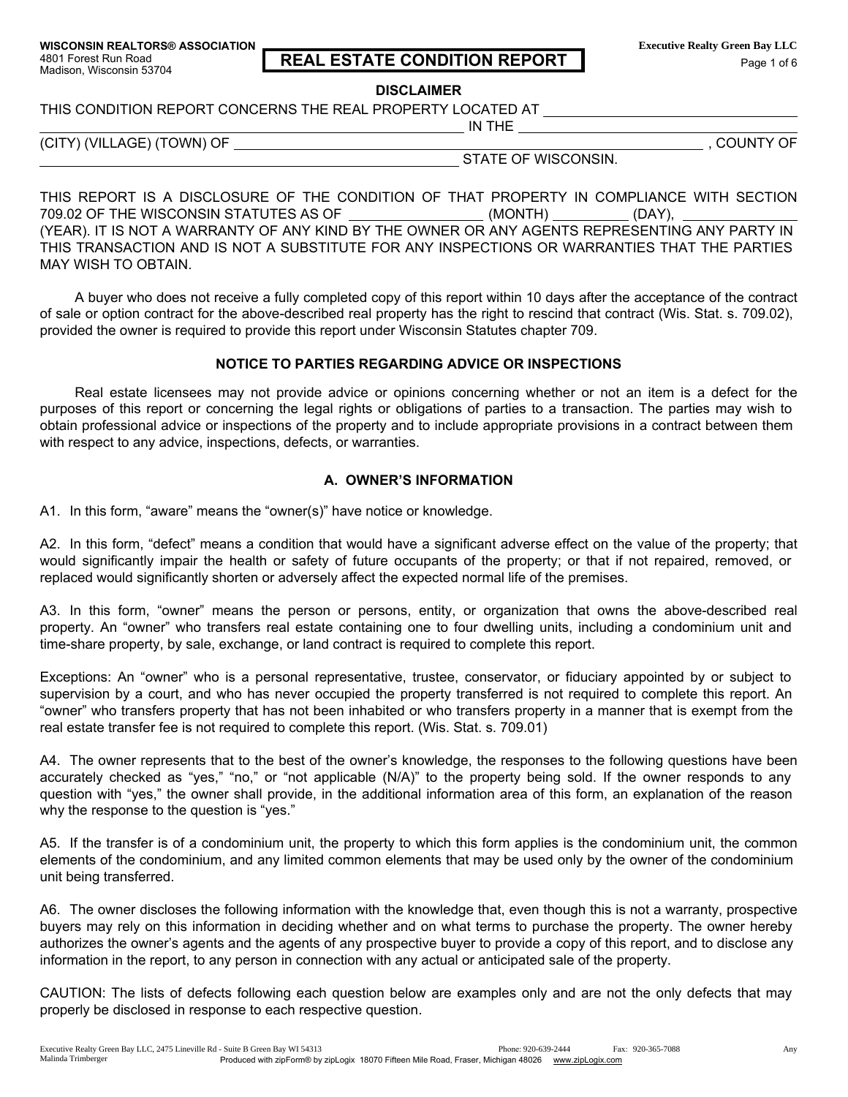# 4801 Forest Run Road **REAL ESTATE CONDITION REPORT**<br>Madison, Wisconsin 53704 Page 1 of 6

**DISCLAIMER** 

THIS CONDITION REPORT CONCERNS THE REAL PROPERTY LOCATED AT

(CITY) (VILLAGE) (TOWN) OF  $\qquad \qquad$ 

STATE OF WISCONSIN.

IN THE

THIS REPORT IS A DISCLOSURE OF THE CONDITION OF THAT PROPERTY IN COMPLIANCE WITH SECTION 709.02 OF THE WISCONSIN STATUTES AS OF  $\_\_\_\_\_\_\_$ (MONTH)  $\_\_\_\_\_\_\_\_$ (DAY),

(YEAR). IT IS NOT A WARRANTY OF ANY KIND BY THE OWNER OR ANY AGENTS REPRESENTING ANY PARTY IN THIS TRANSACTION AND IS NOT A SUBSTITUTE FOR ANY INSPECTIONS OR WARRANTIES THAT THE PARTIES MAY WISH TO OBTAIN.

A buyer who does not receive a fully completed copy of this report within 10 days after the acceptance of the contract of sale or option contract for the above-described real property has the right to rescind that contract (Wis. Stat. s. 709.02), provided the owner is required to provide this report under Wisconsin Statutes chapter 709.

## NOTICE TO PARTIES REGARDING ADVICE OR INSPECTIONS

Real estate licensees may not provide advice or opinions concerning whether or not an item is a defect for the purposes of this report or concerning the legal rights or obligations of parties to a transaction. The parties may wish to obtain professional advice or inspections of the property and to include appropriate provisions in a contract between them with respect to any advice, inspections, defects, or warranties.

## A. OWNER'S INFORMATION

A1. In this form, "aware" means the "owner(s)" have notice or knowledge.

A2. In this form, "defect" means a condition that would have a significant adverse effect on the value of the property; that would significantly impair the health or safety of future occupants of the property; or that if not repaired, removed, or replaced would significantly shorten or adversely affect the expected normal life of the premises.

A3. In this form, "owner" means the person or persons, entity, or organization that owns the above-described real property. An "owner" who transfers real estate containing one to four dwelling units, including a condominium unit and time-share property, by sale, exchange, or land contract is required to complete this report.

Exceptions: An "owner" who is a personal representative, trustee, conservator, or fiduciary appointed by or subject to supervision by a court, and who has never occupied the property transferred is not required to complete this report. An "owner" who transfers property that has not been inhabited or who transfers property in a manner that is exempt from the real estate transfer fee is not required to complete this report. (Wis. Stat. s. 709.01)

A4. The owner represents that to the best of the owner's knowledge, the responses to the following questions have been accurately checked as "yes," "no," or "not applicable (N/A)" to the property being sold. If the owner responds to any question with "yes," the owner shall provide, in the additional information area of this form, an explanation of the reason why the response to the question is "yes."

A5. If the transfer is of a condominium unit, the property to which this form applies is the condominium unit, the common elements of the condominium, and any limited common elements that may be used only by the owner of the condominium unit being transferred.

A6. The owner discloses the following information with the knowledge that, even though this is not a warranty, prospective buyers may rely on this information in deciding whether and on what terms to purchase the property. The owner hereby authorizes the owner's agents and the agents of any prospective buyer to provide a copy of this report, and to disclose any information in the report, to any person in connection with any actual or anticipated sale of the property.

CAUTION: The lists of defects following each question below are examples only and are not the only defects that may properly be disclosed in response to each respective question.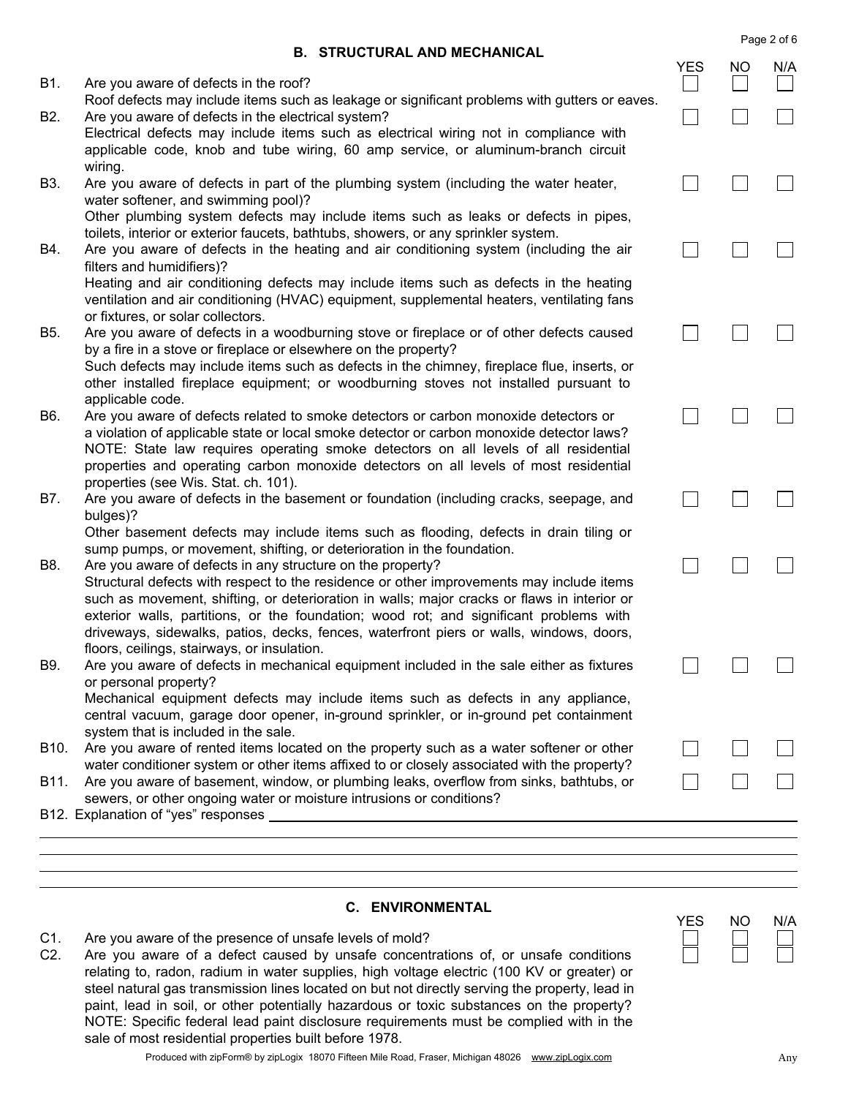|  | <b>B. STRUCTURAL AND MECHANICAL</b> |  |  |
|--|-------------------------------------|--|--|
|--|-------------------------------------|--|--|

|      | <b>B. STRUCTURAL AND MECHANICAL</b>                                                                                                                                                                                                                                                                                                                                          |            |    |     |
|------|------------------------------------------------------------------------------------------------------------------------------------------------------------------------------------------------------------------------------------------------------------------------------------------------------------------------------------------------------------------------------|------------|----|-----|
| B1.  | Are you aware of defects in the roof?                                                                                                                                                                                                                                                                                                                                        | <b>YES</b> | NO | N/A |
| B2.  | Roof defects may include items such as leakage or significant problems with gutters or eaves.<br>Are you aware of defects in the electrical system?<br>Electrical defects may include items such as electrical wiring not in compliance with                                                                                                                                 |            |    |     |
| B3.  | applicable code, knob and tube wiring, 60 amp service, or aluminum-branch circuit<br>wiring.<br>Are you aware of defects in part of the plumbing system (including the water heater,                                                                                                                                                                                         |            |    |     |
|      | water softener, and swimming pool)?<br>Other plumbing system defects may include items such as leaks or defects in pipes,<br>toilets, interior or exterior faucets, bathtubs, showers, or any sprinkler system.                                                                                                                                                              |            |    |     |
| B4.  | Are you aware of defects in the heating and air conditioning system (including the air<br>filters and humidifiers)?                                                                                                                                                                                                                                                          |            |    |     |
|      | Heating and air conditioning defects may include items such as defects in the heating<br>ventilation and air conditioning (HVAC) equipment, supplemental heaters, ventilating fans<br>or fixtures, or solar collectors.                                                                                                                                                      |            |    |     |
| B5.  | Are you aware of defects in a woodburning stove or fireplace or of other defects caused<br>by a fire in a stove or fireplace or elsewhere on the property?<br>Such defects may include items such as defects in the chimney, fireplace flue, inserts, or                                                                                                                     |            |    |     |
|      | other installed fireplace equipment; or woodburning stoves not installed pursuant to<br>applicable code.                                                                                                                                                                                                                                                                     |            |    |     |
| B6.  | Are you aware of defects related to smoke detectors or carbon monoxide detectors or<br>a violation of applicable state or local smoke detector or carbon monoxide detector laws?<br>NOTE: State law requires operating smoke detectors on all levels of all residential<br>properties and operating carbon monoxide detectors on all levels of most residential              |            |    |     |
| B7.  | properties (see Wis. Stat. ch. 101).<br>Are you aware of defects in the basement or foundation (including cracks, seepage, and<br>bulges)?                                                                                                                                                                                                                                   |            |    |     |
| B8.  | Other basement defects may include items such as flooding, defects in drain tiling or<br>sump pumps, or movement, shifting, or deterioration in the foundation.<br>Are you aware of defects in any structure on the property?                                                                                                                                                |            |    |     |
|      | Structural defects with respect to the residence or other improvements may include items<br>such as movement, shifting, or deterioration in walls; major cracks or flaws in interior or<br>exterior walls, partitions, or the foundation; wood rot; and significant problems with<br>driveways, sidewalks, patios, decks, fences, waterfront piers or walls, windows, doors, |            |    |     |
| B9.  | floors, ceilings, stairways, or insulation.<br>Are you aware of defects in mechanical equipment included in the sale either as fixtures<br>or personal property?                                                                                                                                                                                                             |            |    |     |
|      | Mechanical equipment defects may include items such as defects in any appliance,<br>central vacuum, garage door opener, in-ground sprinkler, or in-ground pet containment<br>system that is included in the sale.                                                                                                                                                            |            |    |     |
| B10. | Are you aware of rented items located on the property such as a water softener or other<br>water conditioner system or other items affixed to or closely associated with the property?                                                                                                                                                                                       |            |    |     |
| B11. | Are you aware of basement, window, or plumbing leaks, overflow from sinks, bathtubs, or<br>sewers, or other ongoing water or moisture intrusions or conditions?                                                                                                                                                                                                              |            |    |     |
|      |                                                                                                                                                                                                                                                                                                                                                                              |            |    |     |
|      |                                                                                                                                                                                                                                                                                                                                                                              |            |    |     |

# C. ENVIRONMENTAL

- C1. Are you aware of the presence of unsafe levels of mold?
- C2. Are you aware of a defect caused by unsafe concentrations of, or unsafe conditions relating to, radon, radium in water supplies, high voltage electric (100 KV or greater) or steel natural gas transmission lines located on but not directly serving the property, lead in paint, lead in soil, or other potentially hazardous or toxic substances on the property? NOTE: Specific federal lead paint disclosure requirements must be complied with in the sale of most residential properties built before 1978.

| Page 2 of 6 |  |  |
|-------------|--|--|
|             |  |  |

| -5 | NΩ | N/A |
|----|----|-----|
|    |    |     |
|    |    |     |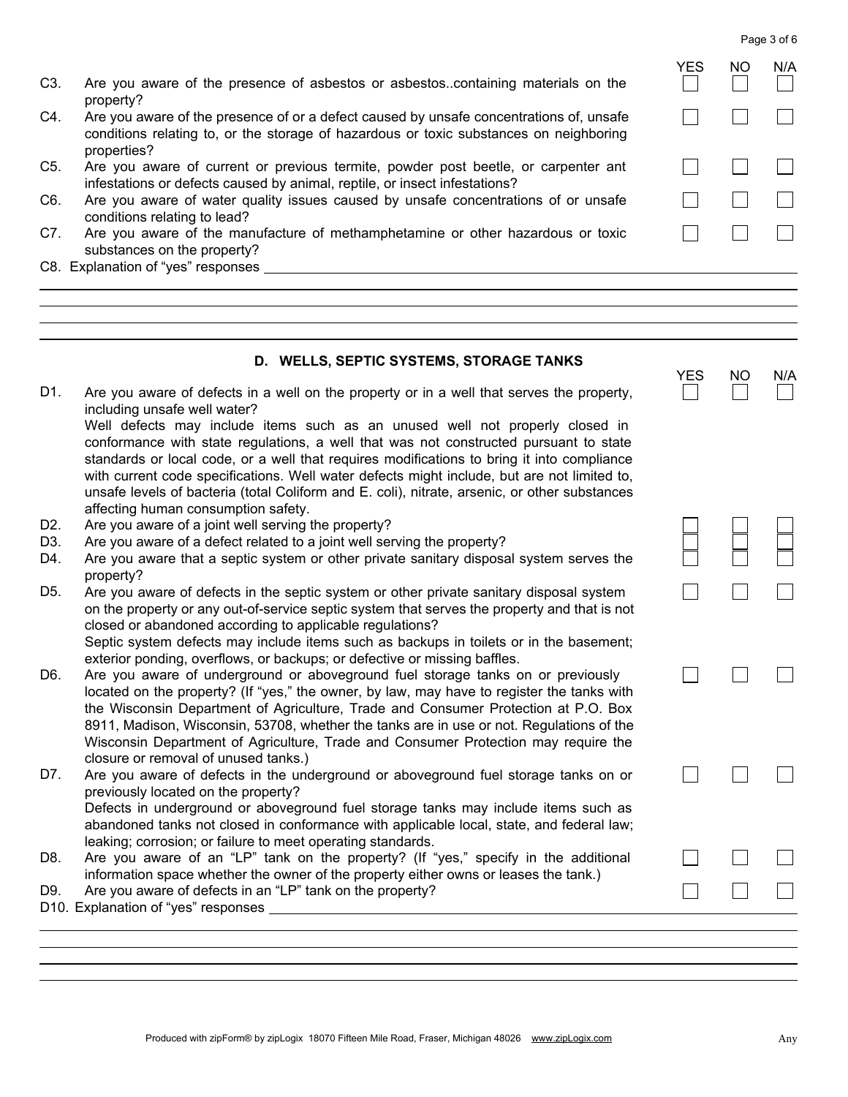Page 3 of 6

 $\Box$ 

 $\vert \ \ \vert$ 

 $\Box$ 

YES NO N/A

 $\mathbf{1}$ 

 $\Box$ 

 $\Box$ 

 $\Box$ 

 $\Box$ 

 $\overline{\phantom{0}}$ 

 $\Box$ 

 $\blacksquare$ 

 $\Box$ 

 $\Box$ 

YES NO N/A

 $\Box$ 

 $\Box$ 

 $\Box$ 

| C3. |           |  |  | Are you aware of the presence of asbestos or asbestoscontaining materials on the |  |  |
|-----|-----------|--|--|----------------------------------------------------------------------------------|--|--|
|     | property? |  |  |                                                                                  |  |  |

- C4. Are you aware of the presence of or a defect caused by unsafe concentrations of, unsafe conditions relating to, or the storage of hazardous or toxic substances on neighboring properties?
- C5. Are you aware of current or previous termite, powder post beetle, or carpenter ant infestations or defects caused by animal, reptile, or insect infestations?
- C6. Are you aware of water quality issues caused by unsafe concentrations of or unsafe conditions relating to lead?
- C7. Are you aware of the manufacture of methamphetamine or other hazardous or toxic substances on the property?
- C8. Explanation of "yes" responses

#### D. WELLS, SEPTIC SYSTEMS, STORAGE TANKS

D1. Are you aware of defects in a well on the property or in a well that serves the property, including unsafe well water?

Well defects may include items such as an unused well not properly closed in conformance with state regulations, a well that was not constructed pursuant to state standards or local code, or a well that requires modifications to bring it into compliance with current code specifications. Well water defects might include, but are not limited to, unsafe levels of bacteria (total Coliform and E. coli), nitrate, arsenic, or other substances affecting human consumption safety.

- D2. Are you aware of a joint well serving the property?
- D3. Are you aware of a defect related to a joint well serving the property?
- D4. Are you aware that a septic system or other private sanitary disposal system serves the property?
- D5. Are you aware of defects in the septic system or other private sanitary disposal system on the property or any out-of-service septic system that serves the property and that is not closed or abandoned according to applicable regulations? Septic system defects may include items such as backups in toilets or in the basement; exterior ponding, overflows, or backups; or defective or missing baffles.
- D6. Are you aware of underground or aboveground fuel storage tanks on or previously located on the property? (If "yes," the owner, by law, may have to register the tanks with the Wisconsin Department of Agriculture, Trade and Consumer Protection at P.O. Box 8911, Madison, Wisconsin, 53708, whether the tanks are in use or not. Regulations of the Wisconsin Department of Agriculture, Trade and Consumer Protection may require the closure or removal of unused tanks.)
- D7. Are you aware of defects in the underground or aboveground fuel storage tanks on or previously located on the property? Defects in underground or aboveground fuel storage tanks may include items such as abandoned tanks not closed in conformance with applicable local, state, and federal law; leaking; corrosion; or failure to meet operating standards.
- D8. Are you aware of an "LP" tank on the property? (If "yes," specify in the additional information space whether the owner of the property either owns or leases the tank.)
- D9. Are you aware of defects in an "LP" tank on the property?

D10. Explanation of "yes" responses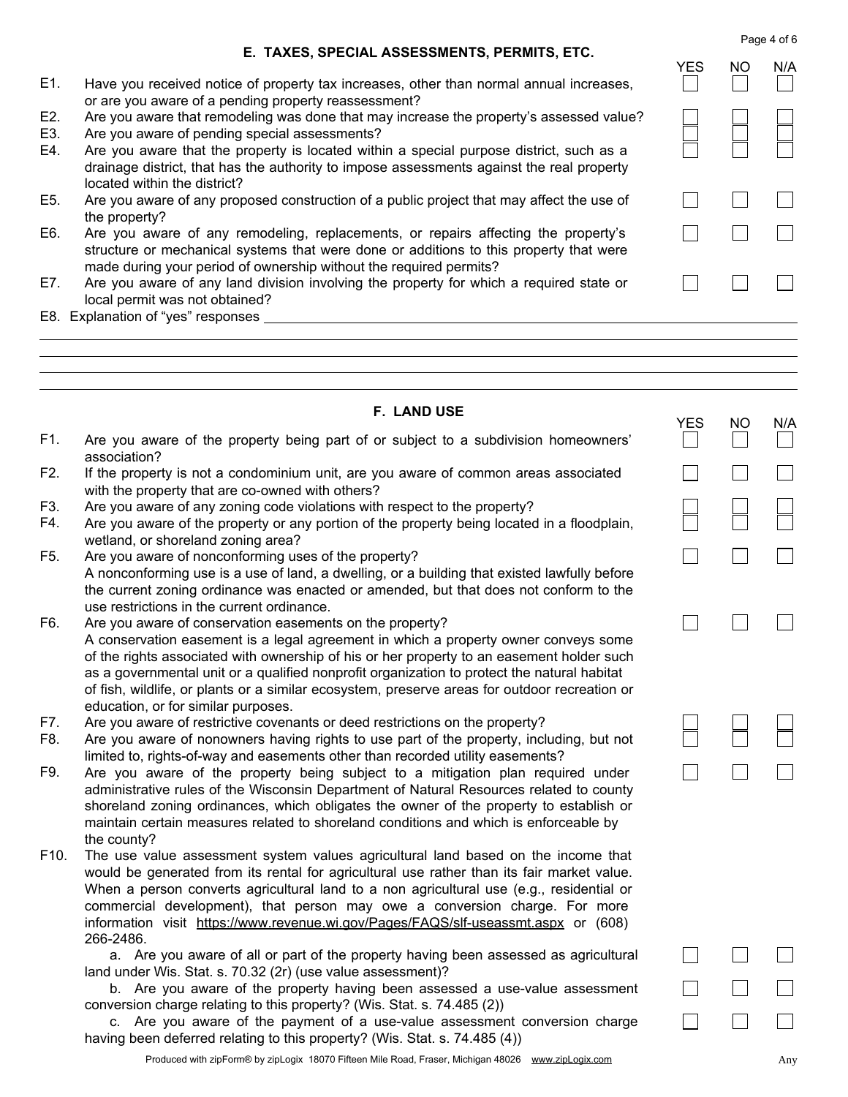Page 4 of 6

 $\vert \ \ \vert$ 

 $\Box$ 

 $\Box$ 

YES NO N/A

 $\Box$ 

 $\Box$ 

 $\Box$ 

 $\Box$ 

 $\Box$ 

 $\Box$ 

|  | E. TAXES, SPECIAL ASSESSMENTS, PERMITS, ETC. |  |
|--|----------------------------------------------|--|
|  |                                              |  |

- E1. Have you received notice of property tax increases, other than normal annual increases, or are you aware of a pending property reassessment?
- E2. Are you aware that remodeling was done that may increase the property's assessed value?
- E3. Are you aware of pending special assessments?
- E4. Are you aware that the property is located within a special purpose district, such as a drainage district, that has the authority to impose assessments against the real property located within the district?
- E5. Are you aware of any proposed construction of a public project that may affect the use of the property?

| E6. | Are you aware of any remodeling, replacements, or repairs affecting the property's     |
|-----|----------------------------------------------------------------------------------------|
|     | structure or mechanical systems that were done or additions to this property that were |
|     | made during your period of ownership without the required permits?                     |

- E7. Are you aware of any land division involving the property for which a required state or local permit was not obtained?
- E8. Explanation of "yes" responses

|  | <b>F. LAND USE</b> |  |
|--|--------------------|--|
|--|--------------------|--|

|            |                                                                                                                                                                                                                                                                                                                                                                                                                                                                                     | <b>YES</b> | <b>NO</b> | N/A          |
|------------|-------------------------------------------------------------------------------------------------------------------------------------------------------------------------------------------------------------------------------------------------------------------------------------------------------------------------------------------------------------------------------------------------------------------------------------------------------------------------------------|------------|-----------|--------------|
| F1.        | Are you aware of the property being part of or subject to a subdivision homeowners'<br>association?                                                                                                                                                                                                                                                                                                                                                                                 |            |           | $\mathbf{L}$ |
| F2.        | If the property is not a condominium unit, are you aware of common areas associated<br>with the property that are co-owned with others?                                                                                                                                                                                                                                                                                                                                             |            |           |              |
| F3.<br>F4. | Are you aware of any zoning code violations with respect to the property?<br>Are you aware of the property or any portion of the property being located in a floodplain,<br>wetland, or shoreland zoning area?                                                                                                                                                                                                                                                                      |            |           |              |
| F5.        | Are you aware of nonconforming uses of the property?<br>A nonconforming use is a use of land, a dwelling, or a building that existed lawfully before<br>the current zoning ordinance was enacted or amended, but that does not conform to the<br>use restrictions in the current ordinance.                                                                                                                                                                                         |            |           |              |
| F6.        | Are you aware of conservation easements on the property?<br>A conservation easement is a legal agreement in which a property owner conveys some<br>of the rights associated with ownership of his or her property to an easement holder such<br>as a governmental unit or a qualified nonprofit organization to protect the natural habitat<br>of fish, wildlife, or plants or a similar ecosystem, preserve areas for outdoor recreation or<br>education, or for similar purposes. |            |           |              |
| F7.<br>F8. | Are you aware of restrictive covenants or deed restrictions on the property?<br>Are you aware of nonowners having rights to use part of the property, including, but not<br>limited to, rights-of-way and easements other than recorded utility easements?                                                                                                                                                                                                                          |            |           |              |
| F9.        | Are you aware of the property being subject to a mitigation plan required under<br>administrative rules of the Wisconsin Department of Natural Resources related to county<br>shoreland zoning ordinances, which obligates the owner of the property to establish or<br>maintain certain measures related to shoreland conditions and which is enforceable by<br>the county?                                                                                                        |            |           |              |
| F10.       | The use value assessment system values agricultural land based on the income that<br>would be generated from its rental for agricultural use rather than its fair market value.<br>When a person converts agricultural land to a non agricultural use (e.g., residential or<br>commercial development), that person may owe a conversion charge. For more<br>information visit https://www.revenue.wi.gov/Pages/FAQS/slf-useassmt.aspx or (608)<br>266-2486.                        |            |           |              |
|            | a. Are you aware of all or part of the property having been assessed as agricultural<br>land under Wis. Stat. s. 70.32 (2r) (use value assessment)?                                                                                                                                                                                                                                                                                                                                 |            |           |              |
|            | b. Are you aware of the property having been assessed a use-value assessment<br>conversion charge relating to this property? (Wis. Stat. s. 74.485 (2))                                                                                                                                                                                                                                                                                                                             |            |           |              |

Produced with zipForm® by zipLogix 18070 Fifteen Mile Road, Fraser, Michigan 48026 www.zipLogix.com Any

having been deferred relating to this property? (Wis. Stat. s. 74.485 (4))

c. Are you aware of the payment of a use-value assessment conversion charge

 $\Box$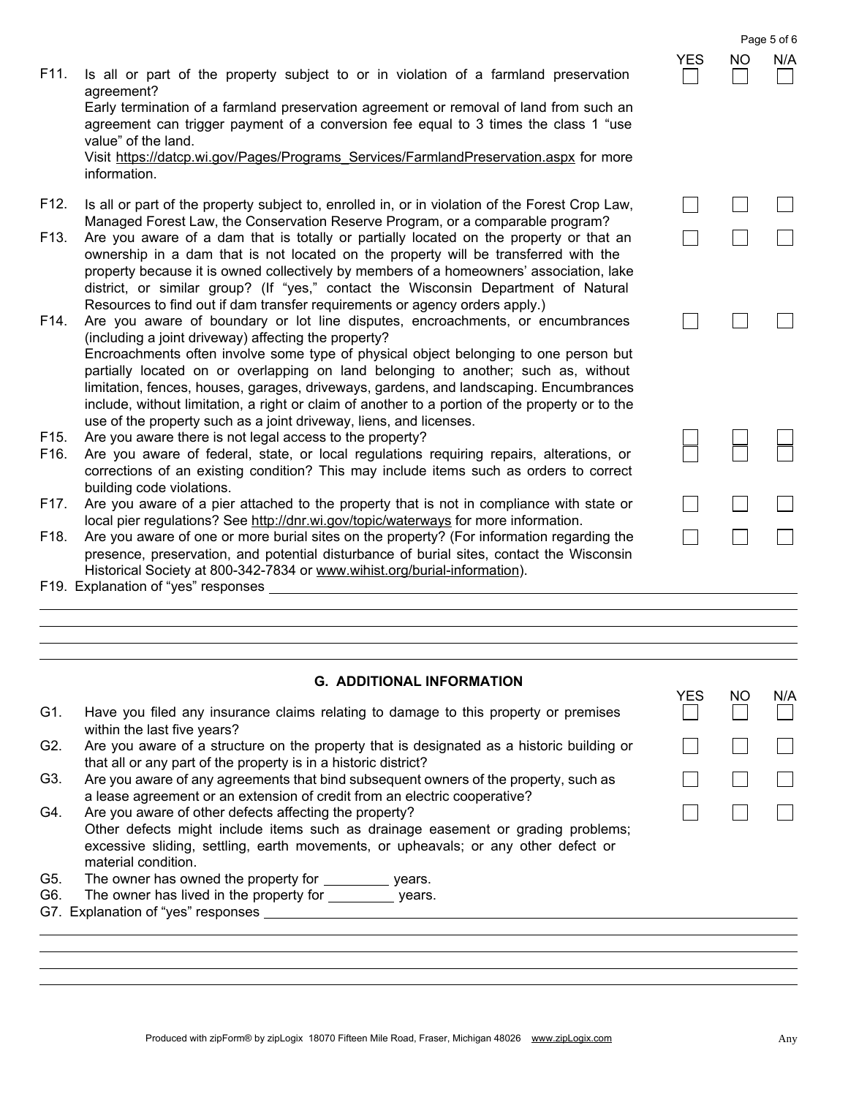F11. Is all or part of the property subject to or in violation of a farmland preservation agreement?

Early termination of a farmland preservation agreement or removal of land from such an agreement can trigger payment of a conversion fee equal to 3 times the class 1 "use value" of the land.

Visit https://datcp.wi.gov/Pages/Programs\_Services/FarmlandPreservation.aspx for more information.

- F12. Is all or part of the property subject to, enrolled in, or in violation of the Forest Crop Law, Managed Forest Law, the Conservation Reserve Program, or a comparable program?
- F13. Are you aware of a dam that is totally or partially located on the property or that an ownership in a dam that is not located on the property will be transferred with the property because it is owned collectively by members of a homeowners' association, lake district, or similar group? (If "yes," contact the Wisconsin Department of Natural Resources to find out if dam transfer requirements or agency orders apply.)
- F14. Are you aware of boundary or lot line disputes, encroachments, or encumbrances (including a joint driveway) affecting the property? Encroachments often involve some type of physical object belonging to one person but partially located on or overlapping on land belonging to another; such as, without limitation, fences, houses, garages, driveways, gardens, and landscaping. Encumbrances include, without limitation, a right or claim of another to a portion of the property or to the use of the property such as a joint driveway, liens, and licenses.
- F15. Are you aware there is not legal access to the property?
- F16. Are you aware of federal, state, or local regulations requiring repairs, alterations, or corrections of an existing condition? This may include items such as orders to correct building code violations.
- F17. Are you aware of a pier attached to the property that is not in compliance with state or local pier regulations? See http://dnr.wi.gov/topic/waterways for more information.
- F18. Are you aware of one or more burial sites on the property? (For information regarding the presence, preservation, and potential disturbance of burial sites, contact the Wisconsin Historical Society at 800-342-7834 or www.wihist.org/burial-information).

F19. Explanation of "yes" responses

# G. ADDITIONAL INFORMATION

|            |                                                                                                                                                                                                                                                         | YES | NΟ | N/A |
|------------|---------------------------------------------------------------------------------------------------------------------------------------------------------------------------------------------------------------------------------------------------------|-----|----|-----|
| G1.        | Have you filed any insurance claims relating to damage to this property or premises<br>within the last five years?                                                                                                                                      |     |    |     |
| G2.        | Are you aware of a structure on the property that is designated as a historic building or<br>that all or any part of the property is in a historic district?                                                                                            |     |    |     |
| G3.        | Are you aware of any agreements that bind subsequent owners of the property, such as<br>a lease agreement or an extension of credit from an electric cooperative?                                                                                       |     |    |     |
| G4.        | Are you aware of other defects affecting the property?<br>Other defects might include items such as drainage easement or grading problems;<br>excessive sliding, settling, earth movements, or upheavals; or any other defect or<br>material condition. |     |    |     |
| G5.<br>G6. | The owner has owned the property for ____________ years.<br>The owner has lived in the property for ____________ years.<br>G7. Explanation of "yes" responses                                                                                           |     |    |     |
|            |                                                                                                                                                                                                                                                         |     |    |     |

|                | $\sum_{i=1}^{N}$         | $\frac{NO}{\Box}$ | $\frac{N/A}{\Box}$ |
|----------------|--------------------------|-------------------|--------------------|
| ו<br>;<br>;    |                          |                   |                    |
|                |                          |                   |                    |
| ',             |                          |                   |                    |
| $\overline{ }$ | $\Box$                   |                   | Ξ                  |
| 9              |                          |                   |                    |
| i              | Ξ                        | $\Box$            |                    |
| t<br>S<br>B    |                          |                   |                    |
| .<br>t         | $\overline{\phantom{0}}$ | ┡                 | ╞                  |
| r              |                          |                   |                    |
|                |                          |                   |                    |

 $\Box$ 

Page 5 of 6